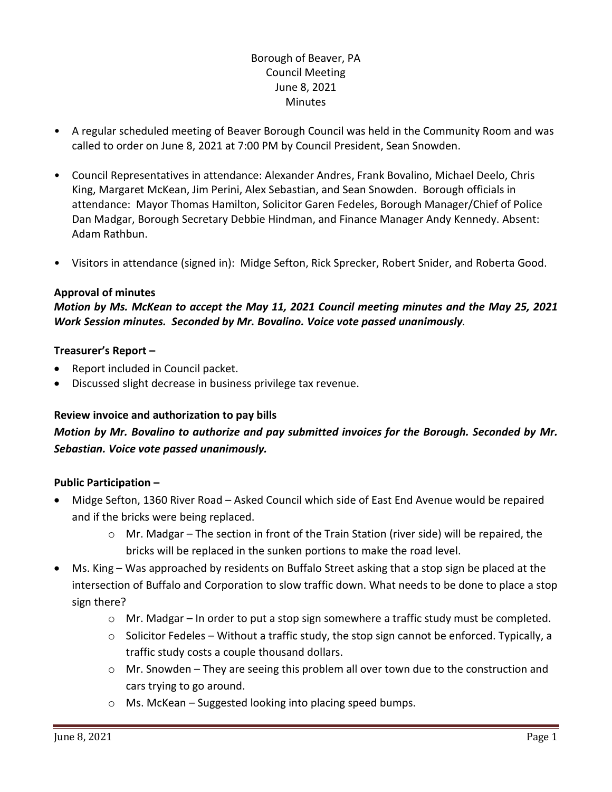# Borough of Beaver, PA Council Meeting June 8, 2021 **Minutes**

- A regular scheduled meeting of Beaver Borough Council was held in the Community Room and was called to order on June 8, 2021 at 7:00 PM by Council President, Sean Snowden.
- Council Representatives in attendance: Alexander Andres, Frank Bovalino, Michael Deelo, Chris King, Margaret McKean, Jim Perini, Alex Sebastian, and Sean Snowden. Borough officials in attendance: Mayor Thomas Hamilton, Solicitor Garen Fedeles, Borough Manager/Chief of Police Dan Madgar, Borough Secretary Debbie Hindman, and Finance Manager Andy Kennedy. Absent: Adam Rathbun.
- Visitors in attendance (signed in): Midge Sefton, Rick Sprecker, Robert Snider, and Roberta Good.

#### **Approval of minutes**

*Motion by Ms. McKean to accept the May 11, 2021 Council meeting minutes and the May 25, 2021 Work Session minutes. Seconded by Mr. Bovalino. Voice vote passed unanimously.*

#### **Treasurer's Report –**

- Report included in Council packet.
- Discussed slight decrease in business privilege tax revenue.

#### **Review invoice and authorization to pay bills**

# *Motion by Mr. Bovalino to authorize and pay submitted invoices for the Borough. Seconded by Mr. Sebastian. Voice vote passed unanimously.*

## **Public Participation –**

- Midge Sefton, 1360 River Road Asked Council which side of East End Avenue would be repaired and if the bricks were being replaced.
	- $\circ$  Mr. Madgar The section in front of the Train Station (river side) will be repaired, the bricks will be replaced in the sunken portions to make the road level.
- Ms. King Was approached by residents on Buffalo Street asking that a stop sign be placed at the intersection of Buffalo and Corporation to slow traffic down. What needs to be done to place a stop sign there?
	- $\circ$  Mr. Madgar In order to put a stop sign somewhere a traffic study must be completed.
	- $\circ$  Solicitor Fedeles Without a traffic study, the stop sign cannot be enforced. Typically, a traffic study costs a couple thousand dollars.
	- $\circ$  Mr. Snowden They are seeing this problem all over town due to the construction and cars trying to go around.
	- o Ms. McKean Suggested looking into placing speed bumps.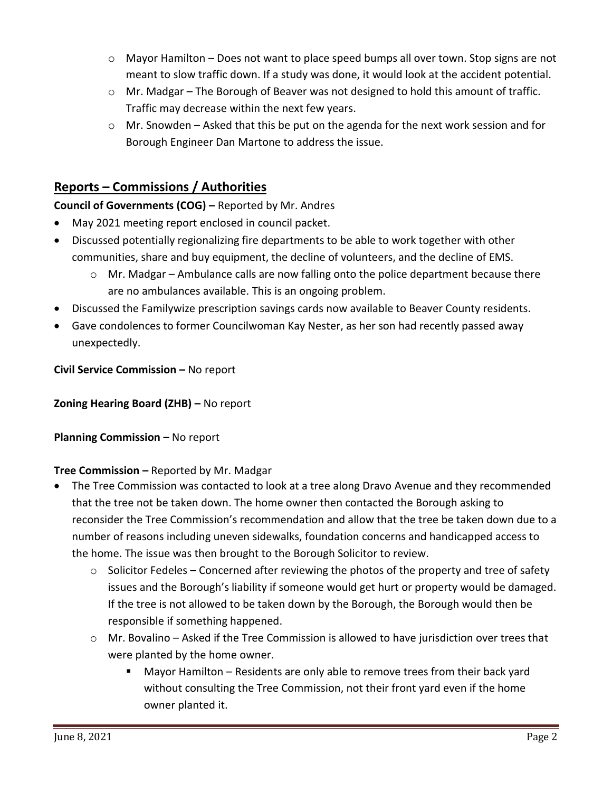- $\circ$  Mayor Hamilton Does not want to place speed bumps all over town. Stop signs are not meant to slow traffic down. If a study was done, it would look at the accident potential.
- $\circ$  Mr. Madgar The Borough of Beaver was not designed to hold this amount of traffic. Traffic may decrease within the next few years.
- $\circ$  Mr. Snowden Asked that this be put on the agenda for the next work session and for Borough Engineer Dan Martone to address the issue.

# **Reports – Commissions / Authorities**

# **Council of Governments (COG) –** Reported by Mr. Andres

- May 2021 meeting report enclosed in council packet.
- Discussed potentially regionalizing fire departments to be able to work together with other communities, share and buy equipment, the decline of volunteers, and the decline of EMS.
	- o Mr. Madgar Ambulance calls are now falling onto the police department because there are no ambulances available. This is an ongoing problem.
- Discussed the Familywize prescription savings cards now available to Beaver County residents.
- Gave condolences to former Councilwoman Kay Nester, as her son had recently passed away unexpectedly.

**Civil Service Commission –** No report

## **Zoning Hearing Board (ZHB) –** No report

## **Planning Commission – No report**

## **Tree Commission –** Reported by Mr. Madgar

- The Tree Commission was contacted to look at a tree along Dravo Avenue and they recommended that the tree not be taken down. The home owner then contacted the Borough asking to reconsider the Tree Commission's recommendation and allow that the tree be taken down due to a number of reasons including uneven sidewalks, foundation concerns and handicapped access to the home. The issue was then brought to the Borough Solicitor to review.
	- $\circ$  Solicitor Fedeles Concerned after reviewing the photos of the property and tree of safety issues and the Borough's liability if someone would get hurt or property would be damaged. If the tree is not allowed to be taken down by the Borough, the Borough would then be responsible if something happened.
	- o Mr. Bovalino Asked if the Tree Commission is allowed to have jurisdiction over trees that were planted by the home owner.
		- Mayor Hamilton Residents are only able to remove trees from their back yard without consulting the Tree Commission, not their front yard even if the home owner planted it.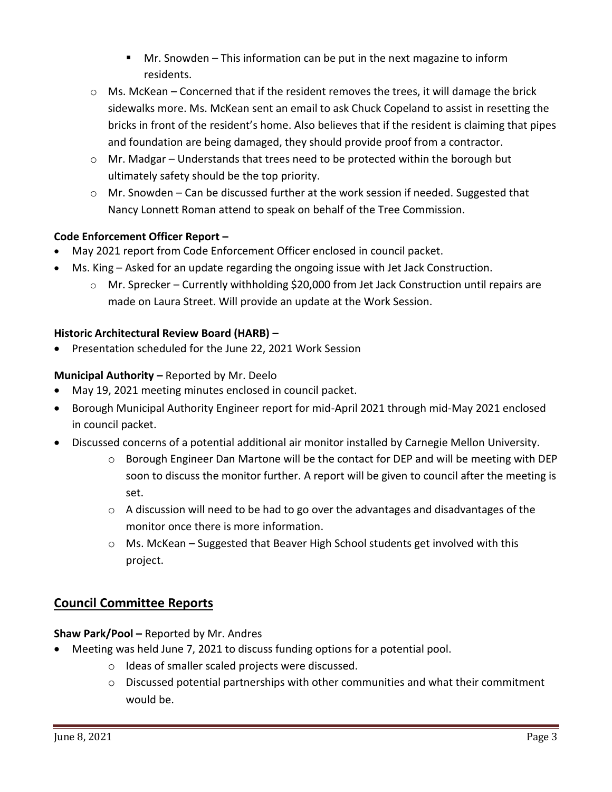- Mr. Snowden This information can be put in the next magazine to inform residents.
- $\circ$  Ms. McKean Concerned that if the resident removes the trees, it will damage the brick sidewalks more. Ms. McKean sent an email to ask Chuck Copeland to assist in resetting the bricks in front of the resident's home. Also believes that if the resident is claiming that pipes and foundation are being damaged, they should provide proof from a contractor.
- o Mr. Madgar Understands that trees need to be protected within the borough but ultimately safety should be the top priority.
- o Mr. Snowden Can be discussed further at the work session if needed. Suggested that Nancy Lonnett Roman attend to speak on behalf of the Tree Commission.

# **Code Enforcement Officer Report –**

- May 2021 report from Code Enforcement Officer enclosed in council packet.
- Ms. King Asked for an update regarding the ongoing issue with Jet Jack Construction.
	- $\circ$  Mr. Sprecker Currently withholding \$20,000 from Jet Jack Construction until repairs are made on Laura Street. Will provide an update at the Work Session.

## **Historic Architectural Review Board (HARB) –**

Presentation scheduled for the June 22, 2021 Work Session

## **Municipal Authority –** Reported by Mr. Deelo

- May 19, 2021 meeting minutes enclosed in council packet.
- Borough Municipal Authority Engineer report for mid-April 2021 through mid-May 2021 enclosed in council packet.
- Discussed concerns of a potential additional air monitor installed by Carnegie Mellon University.
	- $\circ$  Borough Engineer Dan Martone will be the contact for DEP and will be meeting with DEP soon to discuss the monitor further. A report will be given to council after the meeting is set.
	- $\circ$  A discussion will need to be had to go over the advantages and disadvantages of the monitor once there is more information.
	- o Ms. McKean Suggested that Beaver High School students get involved with this project.

# **Council Committee Reports**

## **Shaw Park/Pool –** Reported by Mr. Andres

- Meeting was held June 7, 2021 to discuss funding options for a potential pool.
	- o Ideas of smaller scaled projects were discussed.
	- o Discussed potential partnerships with other communities and what their commitment would be.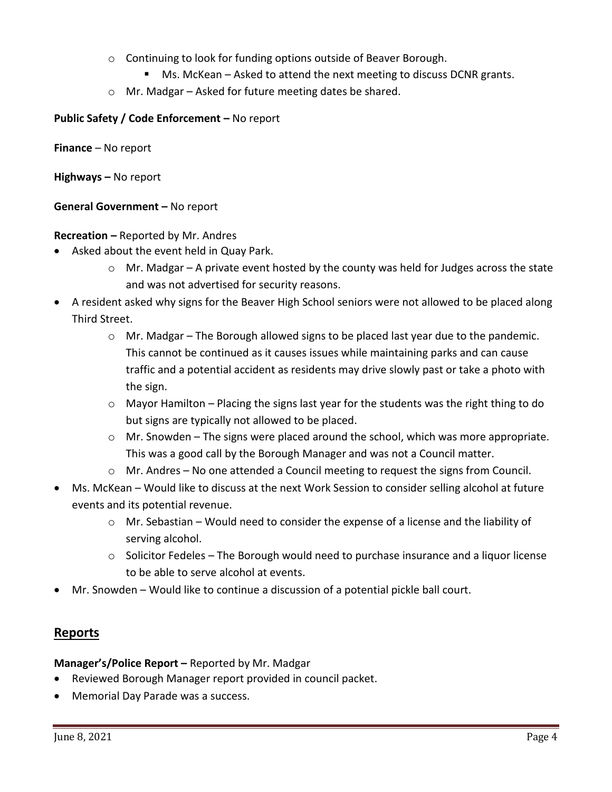- o Continuing to look for funding options outside of Beaver Borough.
	- Ms. McKean Asked to attend the next meeting to discuss DCNR grants.
- o Mr. Madgar Asked for future meeting dates be shared.

### **Public Safety / Code Enforcement –** No report

**Finance** – No report

**Highways –** No report

**General Government –** No report

**Recreation –** Reported by Mr. Andres

- Asked about the event held in Quay Park.
	- $\circ$  Mr. Madgar A private event hosted by the county was held for Judges across the state and was not advertised for security reasons.
- A resident asked why signs for the Beaver High School seniors were not allowed to be placed along Third Street.
	- $\circ$  Mr. Madgar The Borough allowed signs to be placed last year due to the pandemic. This cannot be continued as it causes issues while maintaining parks and can cause traffic and a potential accident as residents may drive slowly past or take a photo with the sign.
	- $\circ$  Mayor Hamilton Placing the signs last year for the students was the right thing to do but signs are typically not allowed to be placed.
	- $\circ$  Mr. Snowden The signs were placed around the school, which was more appropriate. This was a good call by the Borough Manager and was not a Council matter.
	- o Mr. Andres No one attended a Council meeting to request the signs from Council.
- Ms. McKean Would like to discuss at the next Work Session to consider selling alcohol at future events and its potential revenue.
	- o Mr. Sebastian Would need to consider the expense of a license and the liability of serving alcohol.
	- o Solicitor Fedeles The Borough would need to purchase insurance and a liquor license to be able to serve alcohol at events.
- Mr. Snowden Would like to continue a discussion of a potential pickle ball court.

# **Reports**

**Manager's/Police Report –** Reported by Mr. Madgar

- Reviewed Borough Manager report provided in council packet.
- Memorial Day Parade was a success.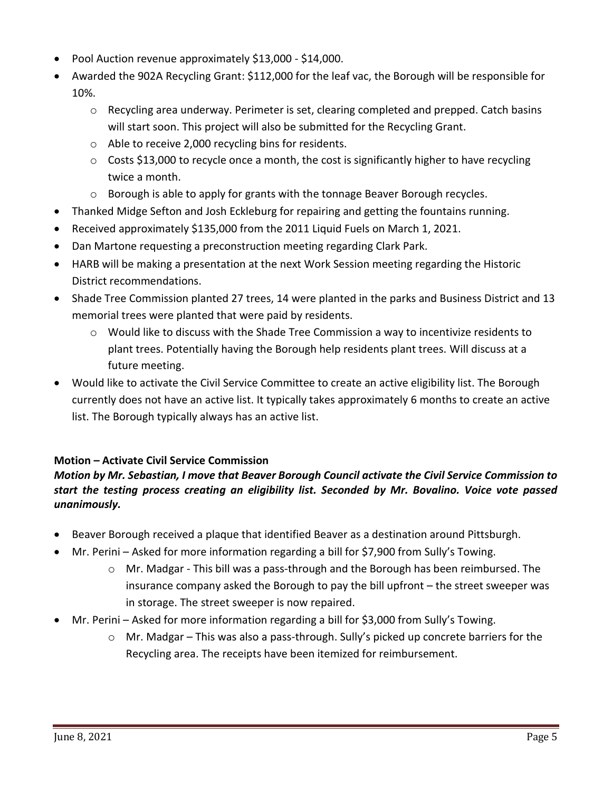- Pool Auction revenue approximately \$13,000 \$14,000.
- Awarded the 902A Recycling Grant: \$112,000 for the leaf vac, the Borough will be responsible for 10%.
	- o Recycling area underway. Perimeter is set, clearing completed and prepped. Catch basins will start soon. This project will also be submitted for the Recycling Grant.
	- o Able to receive 2,000 recycling bins for residents.
	- $\circ$  Costs \$13,000 to recycle once a month, the cost is significantly higher to have recycling twice a month.
	- $\circ$  Borough is able to apply for grants with the tonnage Beaver Borough recycles.
- Thanked Midge Sefton and Josh Eckleburg for repairing and getting the fountains running.
- Received approximately \$135,000 from the 2011 Liquid Fuels on March 1, 2021.
- Dan Martone requesting a preconstruction meeting regarding Clark Park.
- HARB will be making a presentation at the next Work Session meeting regarding the Historic District recommendations.
- Shade Tree Commission planted 27 trees, 14 were planted in the parks and Business District and 13 memorial trees were planted that were paid by residents.
	- $\circ$  Would like to discuss with the Shade Tree Commission a way to incentivize residents to plant trees. Potentially having the Borough help residents plant trees. Will discuss at a future meeting.
- Would like to activate the Civil Service Committee to create an active eligibility list. The Borough currently does not have an active list. It typically takes approximately 6 months to create an active list. The Borough typically always has an active list.

## **Motion – Activate Civil Service Commission**

# *Motion by Mr. Sebastian, I move that Beaver Borough Council activate the Civil Service Commission to start the testing process creating an eligibility list. Seconded by Mr. Bovalino. Voice vote passed unanimously.*

- Beaver Borough received a plaque that identified Beaver as a destination around Pittsburgh.
- Mr. Perini Asked for more information regarding a bill for \$7,900 from Sully's Towing.
	- o Mr. Madgar This bill was a pass-through and the Borough has been reimbursed. The insurance company asked the Borough to pay the bill upfront – the street sweeper was in storage. The street sweeper is now repaired.
- Mr. Perini Asked for more information regarding a bill for \$3,000 from Sully's Towing.
	- $\circ$  Mr. Madgar This was also a pass-through. Sully's picked up concrete barriers for the Recycling area. The receipts have been itemized for reimbursement.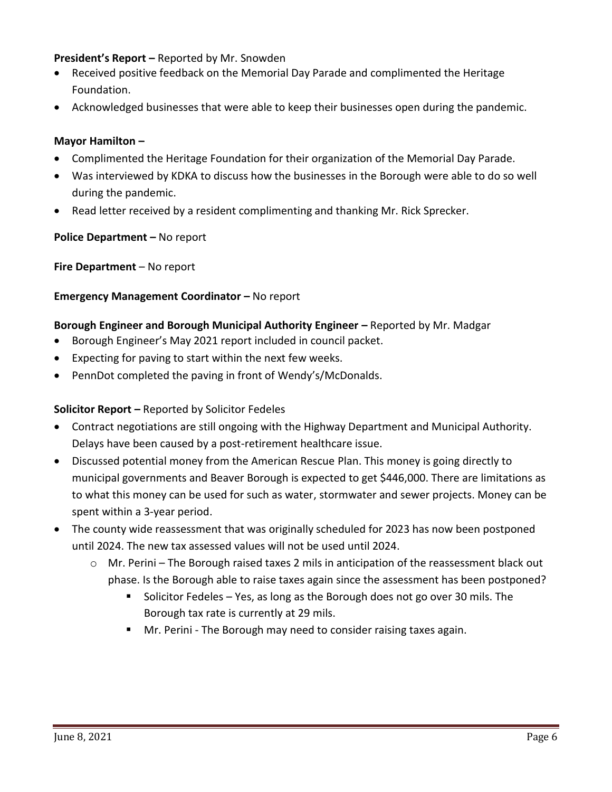### **President's Report –** Reported by Mr. Snowden

- Received positive feedback on the Memorial Day Parade and complimented the Heritage Foundation.
- Acknowledged businesses that were able to keep their businesses open during the pandemic.

#### **Mayor Hamilton –**

- Complimented the Heritage Foundation for their organization of the Memorial Day Parade.
- Was interviewed by KDKA to discuss how the businesses in the Borough were able to do so well during the pandemic.
- Read letter received by a resident complimenting and thanking Mr. Rick Sprecker.

#### **Police Department – No report**

**Fire Department** – No report

#### **Emergency Management Coordinator - No report**

#### **Borough Engineer and Borough Municipal Authority Engineer –** Reported by Mr. Madgar

- Borough Engineer's May 2021 report included in council packet.
- Expecting for paving to start within the next few weeks.
- PennDot completed the paving in front of Wendy's/McDonalds.

#### **Solicitor Report –** Reported by Solicitor Fedeles

- Contract negotiations are still ongoing with the Highway Department and Municipal Authority. Delays have been caused by a post-retirement healthcare issue.
- Discussed potential money from the American Rescue Plan. This money is going directly to municipal governments and Beaver Borough is expected to get \$446,000. There are limitations as to what this money can be used for such as water, stormwater and sewer projects. Money can be spent within a 3-year period.
- The county wide reassessment that was originally scheduled for 2023 has now been postponed until 2024. The new tax assessed values will not be used until 2024.
	- $\circ$  Mr. Perini The Borough raised taxes 2 mils in anticipation of the reassessment black out phase. Is the Borough able to raise taxes again since the assessment has been postponed?
		- **Solicitor Fedeles Yes, as long as the Borough does not go over 30 mils. The** Borough tax rate is currently at 29 mils.
		- Mr. Perini The Borough may need to consider raising taxes again.